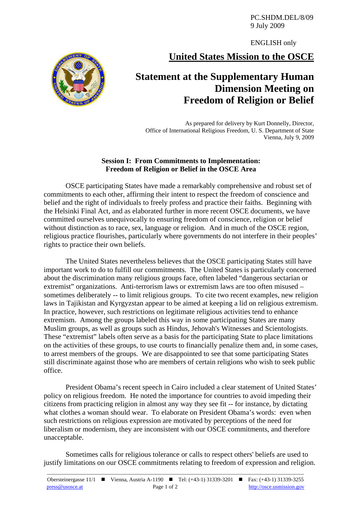PC.SHDM.DEL/8/09 9 July 2009

ENGLISH only

**United States Mission to the OSCE**



## **Statement at the Supplementary Human Dimension Meeting on Freedom of Religion or Belief**

As prepared for delivery by Kurt Donnelly, Director, Office of International Religious Freedom, U. S. Department of State Vienna, July 9, 2009

## **Session I: From Commitments to Implementation: Freedom of Religion or Belief in the OSCE Area**

OSCE participating States have made a remarkably comprehensive and robust set of commitments to each other, affirming their intent to respect the freedom of conscience and belief and the right of individuals to freely profess and practice their faiths. Beginning with the Helsinki Final Act, and as elaborated further in more recent OSCE documents, we have committed ourselves unequivocally to ensuring freedom of conscience, religion or belief without distinction as to race, sex, language or religion. And in much of the OSCE region, religious practice flourishes, particularly where governments do not interfere in their peoples' rights to practice their own beliefs.

The United States nevertheless believes that the OSCE participating States still have important work to do to fulfill our commitments. The United States is particularly concerned about the discrimination many religious groups face, often labeled "dangerous sectarian or extremist" organizations. Anti-terrorism laws or extremism laws are too often misused – sometimes deliberately -- to limit religious groups. To cite two recent examples, new religion laws in Tajikistan and Kyrgyzstan appear to be aimed at keeping a lid on religious extremism. In practice, however, such restrictions on legitimate religious activities tend to enhance extremism. Among the groups labeled this way in some participating States are many Muslim groups, as well as groups such as Hindus, Jehovah's Witnesses and Scientologists. These "extremist" labels often serve as a basis for the participating State to place limitations on the activities of these groups, to use courts to financially penalize them and, in some cases, to arrest members of the groups. We are disappointed to see that some participating States still discriminate against those who are members of certain religions who wish to seek public office.

President Obama's recent speech in Cairo included a clear statement of United States' policy on religious freedom. He noted the importance for countries to avoid impeding their citizens from practicing religion in almost any way they see fit -- for instance, by dictating what clothes a woman should wear. To elaborate on President Obama's words: even when such restrictions on religious expression are motivated by perceptions of the need for liberalism or modernism, they are inconsistent with our OSCE commitments, and therefore unacceptable.

Sometimes calls for religious tolerance or calls to respect others' beliefs are used to justify limitations on our OSCE commitments relating to freedom of expression and religion.